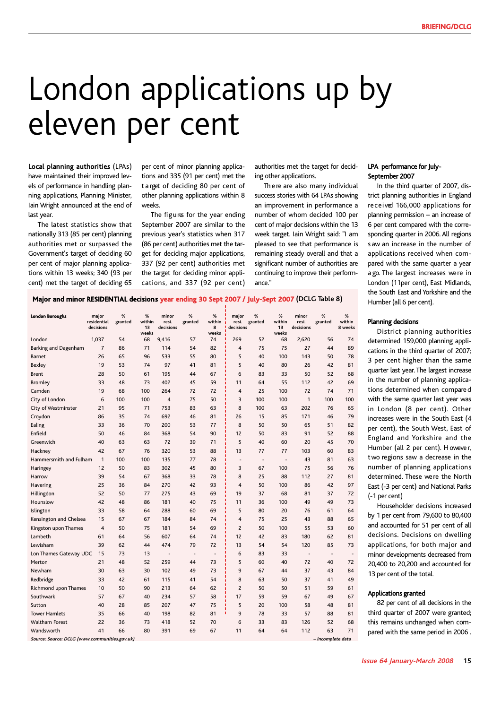# London applications up by eleven per cent

Local planning authorities (LPAs) have maintained their improved levels of performance in handling planning applications, Planning Minister, Iain Wright announced at the end of last year.

The latest statistics show that nationally 313 (85 per cent) planning authorities met or surpassed the Government's target of deciding 60 per cent of major planning applications within 13 weeks; 340 (93 per cent) met the target of deciding 65

per cent of minor planning applications and 335 (91 per cent) met the t a rget of deciding 80 per cent of other planning applications within 8 weeks.

The figures for the year ending September 2007 are similar to the previous year's statistics when 317 (86 per cent) authorities met the target for deciding major applications, 337 (92 per cent) authorities met the target for deciding minor applications, and 337 (92 per cent)

authorities met the target for deciding other applications.

Th e re are also many individual success stories with 64 LPAs showing an improvement in performance a number of whom decided 100 per cent of major decisions within the 13 week target. Iain Wright said: "I am pleased to see that performance is remaining steady overall and that a significant number of authorities are continuing to improve their performance."

### LPA performance for July-September 2007

In the third quarter of 2007, district planning authorities in England received 166,000 applications for planning permission – an increase of 6 per cent compared with the corresponding quarter in 2006. All regions s aw an increase in the number of applications received when compared with the same quarter a year a go. The largest increases were in London (11per cent), East Midlands, the South East and Yorkshire and the Humber (all 6 per cent).

# **Major and minor RESIDENTIAL decisions year ending 30 Sept 2007 / July-Sept 2007 (DCLG Table 8)**

| <b>London Boroughs</b> | major<br>residential<br>decisions | %<br>granted | %<br>within<br>13<br>weeks | minor<br>resi.<br>decisions | %<br>granted             | %<br>within<br>8<br>weeks | major<br>resi.<br>decisions  | %<br>granted             | %<br>within<br>13<br>weeks   | minor<br>resi.<br>decisions | %<br>granted             | %<br>within<br>8 weeks   |
|------------------------|-----------------------------------|--------------|----------------------------|-----------------------------|--------------------------|---------------------------|------------------------------|--------------------------|------------------------------|-----------------------------|--------------------------|--------------------------|
| London                 | 1,037                             | 54           | 68                         | 9,416                       | 57                       | 74                        | 269                          | 52                       | 68                           | 2,620                       | 56                       | 74                       |
| Barking and Dagenham   | $\overline{7}$                    | 86           | 71                         | 114                         | 54                       | 82                        | 4                            | 75                       | 75                           | 27                          | 44                       | 89                       |
| Barnet                 | 26                                | 65           | 96                         | 533                         | 55                       | 80                        | 5                            | 40                       | 100                          | 143                         | 50                       | 78                       |
| Bexley                 | 19                                | 53           | 74                         | 97                          | 41                       | 81                        | 5                            | 40                       | 80                           | 26                          | 42                       | 81                       |
| <b>Brent</b>           | 28                                | 50           | 61                         | 195                         | 44                       | 67                        | 6                            | 83                       | 33                           | 50                          | 52                       | 68                       |
| Bromley                | 33                                | 48           | 73                         | 402                         | 45                       | 59                        | 11                           | 64                       | 55                           | 112                         | 42                       | 69                       |
| Camden                 | 19                                | 68           | 100                        | 264                         | 72                       | 72                        | 4                            | 25                       | 100                          | 72                          | 74                       | 71                       |
| City of London         | 6                                 | 100          | 100                        | $\overline{4}$              | 75                       | 50                        | 3                            | 100                      | 100                          | $\mathbf{1}$                | 100                      | 100                      |
| City of Westminster    | 21                                | 95           | 71                         | 753                         | 83                       | 63                        | 8                            | 100                      | 63                           | 202                         | 76                       | 65                       |
| Croydon                | 86                                | 35           | 74                         | 692                         | 46                       | 81                        | 26                           | 15                       | 85                           | 171                         | 46                       | 79                       |
| Ealing                 | 33                                | 36           | 70                         | 200                         | 53                       | 77                        | 8                            | 50                       | 50                           | 65                          | 51                       | 82                       |
| Enfield                | 50                                | 46           | 84                         | 368                         | 54                       | 90                        | 12                           | 50                       | 83                           | 91                          | 52                       | 88                       |
| Greenwich              | 40                                | 63           | 63                         | 72                          | 39                       | 71                        | 5                            | 40                       | 60                           | 20                          | 45                       | 70                       |
| Hackney                | 42                                | 67           | 76                         | 320                         | 53                       | 88                        | 13                           | 77                       | 77                           | 103                         | 60                       | 83                       |
| Hammersmith and Fulham | $\mathbf{1}$                      | 100          | 100                        | 135                         | 77                       | 78                        | $\qquad \qquad \blacksquare$ | $\overline{\phantom{a}}$ | $\qquad \qquad \blacksquare$ | 43                          | 81                       | 63                       |
| Haringey               | 12                                | 50           | 83                         | 302                         | 45                       | 80                        | 3                            | 67                       | 100                          | 75                          | 56                       | 76                       |
| Harrow                 | 39                                | 54           | 67                         | 368                         | 33                       | 78                        | 8                            | 25                       | 88                           | 112                         | 27                       | 81                       |
| Havering               | 25                                | 36           | 84                         | 270                         | 42                       | 93                        | 4                            | 50                       | 100                          | 86                          | 42                       | 97                       |
| Hillingdon             | 52                                | 50           | 77                         | 275                         | 43                       | 69                        | 19                           | 37                       | 68                           | 81                          | 37                       | 72                       |
| Hounslow               | 42                                | 48           | 86                         | 181                         | 40                       | 75                        | 11                           | 36                       | 100                          | 49                          | 49                       | 73                       |
| Islington              | 33                                | 58           | 64                         | 288                         | 60                       | 69                        | 5                            | 80                       | 20                           | 76                          | 61                       | 64                       |
| Kensington and Chelsea | 15                                | 67           | 67                         | 184                         | 84                       | 74                        | 4                            | 75                       | 25                           | 43                          | 88                       | 65                       |
| Kingston upon Thames   | $\overline{4}$                    | 50           | 75                         | 181                         | 54                       | 69                        | 2                            | 50                       | 100                          | 55                          | 53                       | 60                       |
| Lambeth                | 61                                | 64           | 56                         | 607                         | 64                       | 74                        | 12                           | 42                       | 83                           | 180                         | 62                       | 81                       |
| Lewisham               | 39                                | 62           | 44                         | 474                         | 79                       | 72                        | 13                           | 54                       | 54                           | 120                         | 85                       | 73                       |
| Lon Thames Gateway UDC | 15                                | 73           | 13                         |                             | $\overline{\phantom{a}}$ | $\overline{a}$            | 6                            | 83                       | 33                           | $\overline{a}$              | $\overline{\phantom{a}}$ | $\overline{\phantom{a}}$ |
| Merton                 | 21                                | 48           | 52                         | 259                         | 44                       | 73                        | 5                            | 60                       | 40                           | 72                          | 40                       | 72                       |
| Newham                 | 30                                | 63           | 30                         | 102                         | 49                       | 73                        | 9                            | 67                       | 44                           | 37                          | 43                       | 84                       |
| Redbridge              | 33                                | 42           | 61                         | 115                         | 41                       | 54                        | 8                            | 63                       | 50                           | 37                          | 41                       | 49                       |
| Richmond upon Thames   | 10                                | 50           | 90                         | 213                         | 64                       | 62                        | $\overline{2}$               | 50                       | 50                           | 51                          | 59                       | 61                       |
| Southwark              | 57                                | 67           | 40                         | 234                         | 57                       | 58                        | 17                           | 59                       | 59                           | 67                          | 49                       | 67                       |
| Sutton                 | 40                                | 28           | 85                         | 207                         | 47                       | 75                        | 5                            | 20                       | 100                          | 58                          | 48                       | 81                       |
| <b>Tower Hamlets</b>   | 35                                | 66           | 40                         | 198                         | 82                       | 81                        | 9                            | 78                       | 33                           | 57                          | 88                       | 81                       |
| Waltham Forest         | 22                                | 36           | 73                         | 418                         | 52                       | 70                        | 6                            | 33                       | 83                           | 126                         | 52                       | 68                       |
| Wandsworth             | 41                                | 66           | 80                         | 391                         | 69                       | 67                        | 11                           | 64                       | 64                           | 112                         | 63                       | 71                       |

**Source: Source: DCLG (www.communities.gov.uk) – incomplete data**

# Planning decisions

District planning authorities determined 159,000 planning applications in the third quarter of 2007; 3 per cent higher than the same quarter last year. The largest increase in the number of planning applications determined when compare d with the same quarter last year was in London (8 per cent). Other increases were in the South East (4 per cent), the South West, East of England and Yorkshire and the Humber (all 2 per cent). However, two regions saw a decrease in the number of planning applications determined. These were the North East (-3 per cent) and National Parks (-1 per cent)

Householder decisions increased by 1 per cent from 79,600 to 80,400 and accounted for 51 per cent of all decisions. Decisions on dwelling applications, for both major and minor developments decreased from 20,400 to 20,200 and accounted for 13 per cent of the total.

### Applications granted

82 per cent of all decisions in the third quarter of 2007 were granted; this remains unchanged when compared with the same period in 2006 .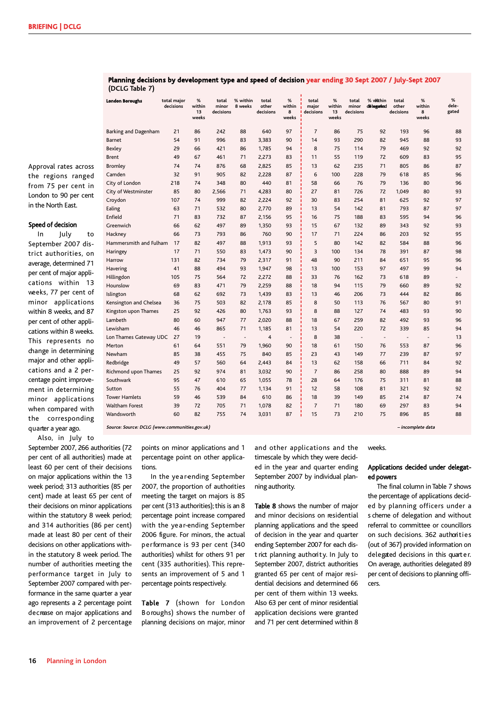Approval rates across the regions ranged from 75 per cent in London to 90 per cent in the North East.

### Speed of decision

In July to September 2007 district authorities, on average, determined 71 per cent of major applications within 13 weeks, 77 per cent of minor applications within 8 weeks, and 87 per cent of other applications within 8 weeks. This represents no change in determining major and other applications and a 2 percentage point improvement in determining minor applications when compared with the corresponding quarter a year ago.

Also, in July to

September 2007, 266 authorities (72 per cent of all authorities) made at least 60 per cent of their decisions on major applications within the 13 week period; 313 authorities (85 per cent) made at least 65 per cent of their decisions on minor applications within the statutory 8 week period; and 314 authorities (86 per cent) made at least 80 per cent of their decisions on other applications within the statutory 8 week period. The number of authorities meeting the performance target in July to September 2007 compared with performance in the same quarter a year ago represents a 2 percentage point decrease on major applications and an improvement of 2 percentage

| $(0.10)$ rapic $1)$<br>London Boroughs | total major | $\%$                  | total              | % within                 | total              | %                        | total              | $\%$                  | total              | % within                     | total                    | $\%$                 | %              |
|----------------------------------------|-------------|-----------------------|--------------------|--------------------------|--------------------|--------------------------|--------------------|-----------------------|--------------------|------------------------------|--------------------------|----------------------|----------------|
|                                        | decisions   | within<br>13<br>weeks | minor<br>decisions | 8 weeks                  | other<br>decisions | within<br>8<br>weeks     | major<br>decisions | within<br>13<br>weeks | minor<br>decisions | d&lagated                    | other<br>decisions       | within<br>8<br>weeks | dele-<br>gated |
| Barking and Dagenham                   | 21          | 86                    | 242                | 88                       | 640                | 97                       | 7                  | 86                    | 75                 | 92                           | 193                      | 96                   | 88             |
| <b>Barnet</b>                          | 54          | 91                    | 996                | 83                       | 3,383              | 90                       | 14                 | 93                    | 290                | 82                           | 945                      | 88                   | 93             |
| Bexley                                 | 29          | 66                    | 421                | 86                       | 1,785              | 94                       | 8                  | 75                    | 114                | 79                           | 469                      | 92                   | 92             |
| Brent                                  | 49          | 67                    | 461                | 71                       | 2,273              | 83                       | 11                 | 55                    | 119                | 72                           | 609                      | 83                   | 95             |
| Bromley                                | 74          | 74                    | 876                | 68                       | 2,825              | 85                       | 13                 | 62                    | 235                | 71                           | 805                      | 86                   | 87             |
| Camden                                 | 32          | 91                    | 905                | 82                       | 2,228              | 87                       | 6                  | 100                   | 228                | 79                           | 618                      | 85                   | 96             |
| City of London                         | 218         | 74                    | 348                | 80                       | 440                | 81                       | 58                 | 66                    | 76                 | 79                           | 136                      | 80                   | 96             |
| City of Westminster                    | 85          | 80                    | 2,566              | 71                       | 4,283              | 80                       | 27                 | 81                    | 726                | 72                           | 1,049                    | 80                   | 93             |
| Croydon                                | 107         | 74                    | 999                | 82                       | 2,224              | 92                       | 30                 | 83                    | 254                | 81                           | 625                      | 92                   | 97             |
| Ealing                                 | 63          | 71                    | 532                | 80                       | 2,770              | 89                       | 13                 | 54                    | 142                | 81                           | 793                      | 87                   | 97             |
| Enfield                                | 71          | 83                    | 732                | 87                       | 2,156              | 95                       | 16                 | 75                    | 188                | 83                           | 595                      | 94                   | 96             |
| Greenwich                              | 66          | 62                    | 497                | 89                       | 1,350              | 93                       | 15                 | 67                    | 132                | 89                           | 343                      | 92                   | 93             |
| Hackney                                | 66          | 73                    | 793                | 86                       | 760                | 90                       | 17                 | 71                    | 224                | 86                           | 203                      | 92                   | 95             |
| Hammersmith and Fulham                 | 17          | 82                    | 497                | 88                       | 1,913              | 93                       | 5                  | 80                    | 142                | 82                           | 584                      | 88                   | 96             |
| Haringey                               | 17          | 71                    | 550                | 83                       | 1,473              | 90                       | 3                  | 100                   | 134                | 78                           | 391                      | 87                   | 98             |
| Harrow                                 | 131         | 82                    | 734                | 79                       | 2,317              | 91                       | 48                 | 90                    | 211                | 84                           | 651                      | 95                   | 96             |
| <b>Havering</b>                        | 41          | 88                    | 494                | 93                       | 1,947              | 98                       | 13                 | 100                   | 153                | 97                           | 497                      | 99                   | 94             |
| Hillingdon                             | 105         | 75                    | 564                | 72                       | 2,272              | 88                       | 33                 | 76                    | 162                | 73                           | 618                      | 89                   |                |
| Hounslow                               | 69          | 83                    | 471                | 79                       | 2,259              | 88                       | 18                 | 94                    | 115                | 79                           | 660                      | 89                   | 92             |
| Islington                              | 68          | 62                    | 692                | 73                       | 1,439              | 83                       | 13                 | 46                    | 206                | 73                           | 444                      | 82                   | 86             |
| Kensington and Chelsea                 | 36          | 75                    | 503                | 82                       | 2,178              | 85                       | 8                  | 50                    | 113                | 76                           | 567                      | 80                   | 91             |
| Kingston upon Thames                   | 25          | 92                    | 426                | 80                       | 1,763              | 93                       | 8                  | 88                    | 127                | 74                           | 483                      | 93                   | 90             |
| Lambeth                                | 80          | 60                    | 947                | 77                       | 2,020              | 88                       | 18                 | 67                    | 259                | 82                           | 492                      | 93                   | 96             |
| Lewisham                               | 46          | 46                    | 865                | 71                       | 1,185              | 81                       | 13                 | 54                    | 220                | 72                           | 339                      | 85                   | 94             |
| Lon Thames Gateway UDC                 | 27          | 19                    |                    | $\overline{\phantom{a}}$ | 4                  | $\overline{\phantom{a}}$ | 8                  | 38                    |                    | $\qquad \qquad \blacksquare$ | $\overline{\phantom{a}}$ |                      | 13             |
| Merton                                 | 61          | 64                    | 551                | 79                       | 1,960              | 90                       | 18                 | 61                    | 150                | 76                           | 553                      | 87                   | 96             |
| Newham                                 | 85          | 38                    | 455                | 75                       | 840                | 85                       | 23                 | 43                    | 149                | 77                           | 239                      | 87                   | 97             |
| Redbridge                              | 49          | 57                    | 560                | 64                       | 2,443              | 84                       | 13                 | 62                    | 158                | 66                           | 711                      | 84                   | 92             |
| Richmond upon Thames                   | 25          | 92                    | 974                | 81                       | 3,032              | 90                       | $\overline{7}$     | 86                    | 258                | 80                           | 888                      | 89                   | 94             |
| Southwark                              | 95          | 47                    | 610                | 65                       | 1,055              | 78                       | 28                 | 64                    | 176                | 75                           | 311                      | 81                   | 88             |
| Sutton                                 | 55          | 76                    | 404                | 77                       | 1,134              | 91                       | 12                 | 58                    | 108                | 81                           | 321                      | 92                   | 92             |
| <b>Tower Hamlets</b>                   | 59          | 46                    | 539                | 84                       | 610                | 86                       | 18                 | 39                    | 149                | 85                           | 214                      | 87                   | 74             |
| <b>Waltham Forest</b>                  | 39          | 72                    | 705                | 71                       | 1,078              | 82                       | $\overline{7}$     | 71                    | 180                | 69                           | 297                      | 83                   | 94             |
| Wandsworth                             | 60          | 82                    | 755                | 74                       | 3,031              | 87                       | 15                 | 73                    | 210                | 75                           | 896                      | 85                   | 88             |

**Planning decisions by development type and speed of decision year ending 30 Sept 2007 / July-Sept 2007 (DCLG Table 7)**

**Source: Source: DCLG (www.communities.gov.uk) – incomplete data**

points on minor applications and 1 percentage point on other applications.

In the year-ending September 2007, the proportion of authorities meeting the target on majors is 85 per cent (313 authorities); this is an 8 percentage point increase compared with the year-ending September 2006 figure. For minors, the actual performance is 93 per cent (340 authorities) whilst for others 91 per cent (335 authorities). This represents an improvement of 5 and 1 percentage points respectively.

Table 7 (shown for London Boroughs) shows the number of planning decisions on major, minor and other applications and the timescale by which they were decided in the year and quarter ending September 2007 by individual planning authority.

Table 8 shows the number of major and minor decisions on residential planning applications and the speed of decision in the year and quarter ending September 2007 for each district planning authority. In July to September 2007, district authorities granted 65 per cent of major residential decisions and determined 66 per cent of them within 13 weeks. Also 63 per cent of minor residential application decisions were granted and 71 per cent determined within 8 weeks.

## Applications decided under delegated powers

The final column in Table 7 shows the percentage of applications decided by planning officers under a s cheme of delegation and without referral to committee or councillors on such decisions. 362 authorities (out of 367) provided information on delegated decisions in this quart e r. On average, authorities delegated 89 per cent of decisions to planning officers.